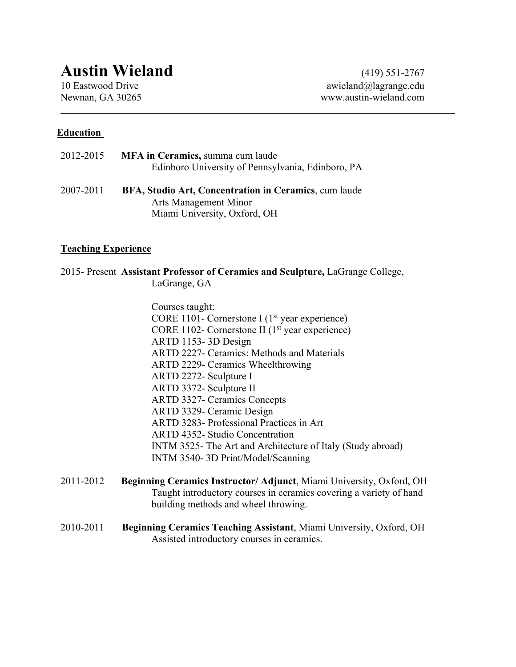# **Austin Wieland** (419) 551-2767

10 Eastwood Drive awieland@lagrange.edu Newnan, GA 30265 www.austin-wieland.com

#### **Education**

| 2012-2015 | MFA in Ceramics, summa cum laude                  |
|-----------|---------------------------------------------------|
|           | Edinboro University of Pennsylvania, Edinboro, PA |
|           |                                                   |

2007-2011 **BFA, Studio Art, Concentration in Ceramics**, cum laude Arts Management Minor Miami University, Oxford, OH

#### **Teaching Experience**

2015- Present **Assistant Professor of Ceramics and Sculpture,** LaGrange College, LaGrange, GA

> Courses taught: CORE 1101- Cornerstone I ( $1<sup>st</sup>$  year experience) CORE 1102- Cornerstone II ( $1<sup>st</sup>$  year experience) ARTD 1153- 3D Design ARTD 2227- Ceramics: Methods and Materials ARTD 2229- Ceramics Wheelthrowing ARTD 2272- Sculpture I ARTD 3372- Sculpture II ARTD 3327- Ceramics Concepts ARTD 3329- Ceramic Design ARTD 3283- Professional Practices in Art ARTD 4352- Studio Concentration INTM 3525- The Art and Architecture of Italy (Study abroad) INTM 3540- 3D Print/Model/Scanning

- 2011-2012 **Beginning Ceramics Instructor/ Adjunct**, Miami University, Oxford, OH Taught introductory courses in ceramics covering a variety of hand building methods and wheel throwing.
- 2010-2011 **Beginning Ceramics Teaching Assistant**, Miami University, Oxford, OH Assisted introductory courses in ceramics.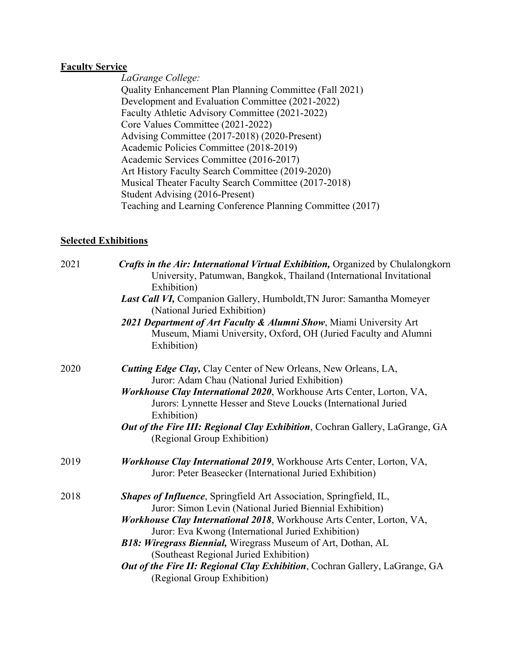#### **Faculty Service**

*LaGrange College:* Quality Enhancement Plan Planning Committee (Fall 2021) Development and Evaluation Committee (2021-2022) Faculty Athletic Advisory Committee (2021-2022) Core Values Committee (2021-2022) Advising Committee (2017-2018) (2020-Present) Academic Policies Committee (2018-2019) Academic Services Committee (2016-2017) Art History Faculty Search Committee (2019-2020) Musical Theater Faculty Search Committee (2017-2018) Student Advising (2016-Present) Teaching and Learning Conference Planning Committee (2017)

#### **Selected Exhibitions**

| Crafts in the Air: International Virtual Exhibition, Organized by Chulalongkorn<br>University, Patumwan, Bangkok, Thailand (International Invitational<br>Exhibition)<br>Last Call VI, Companion Gallery, Humboldt, TN Juror: Samantha Momeyer<br>(National Juried Exhibition)<br>2021 Department of Art Faculty & Alumni Show, Miami University Art<br>Museum, Miami University, Oxford, OH (Juried Faculty and Alumni                                                                              |
|------------------------------------------------------------------------------------------------------------------------------------------------------------------------------------------------------------------------------------------------------------------------------------------------------------------------------------------------------------------------------------------------------------------------------------------------------------------------------------------------------|
| Exhibition)<br><b>Cutting Edge Clay, Clay Center of New Orleans, New Orleans, LA,</b>                                                                                                                                                                                                                                                                                                                                                                                                                |
| Juror: Adam Chau (National Juried Exhibition)<br>Workhouse Clay International 2020, Workhouse Arts Center, Lorton, VA,<br>Jurors: Lynnette Hesser and Steve Loucks (International Juried<br>Exhibition)                                                                                                                                                                                                                                                                                              |
| Out of the Fire III: Regional Clay Exhibition, Cochran Gallery, LaGrange, GA<br>(Regional Group Exhibition)                                                                                                                                                                                                                                                                                                                                                                                          |
| Workhouse Clay International 2019, Workhouse Arts Center, Lorton, VA,<br>Juror: Peter Beasecker (International Juried Exhibition)                                                                                                                                                                                                                                                                                                                                                                    |
| <b>Shapes of Influence</b> , Springfield Art Association, Springfield, IL,<br>Juror: Simon Levin (National Juried Biennial Exhibition)<br>Workhouse Clay International 2018, Workhouse Arts Center, Lorton, VA,<br>Juror: Eva Kwong (International Juried Exhibition)<br>B18: Wiregrass Biennial, Wiregrass Museum of Art, Dothan, AL<br>(Southeast Regional Juried Exhibition)<br><b>Out of the Fire II: Regional Clay Exhibition, Cochran Gallery, LaGrange, GA</b><br>(Regional Group Exhibition) |
|                                                                                                                                                                                                                                                                                                                                                                                                                                                                                                      |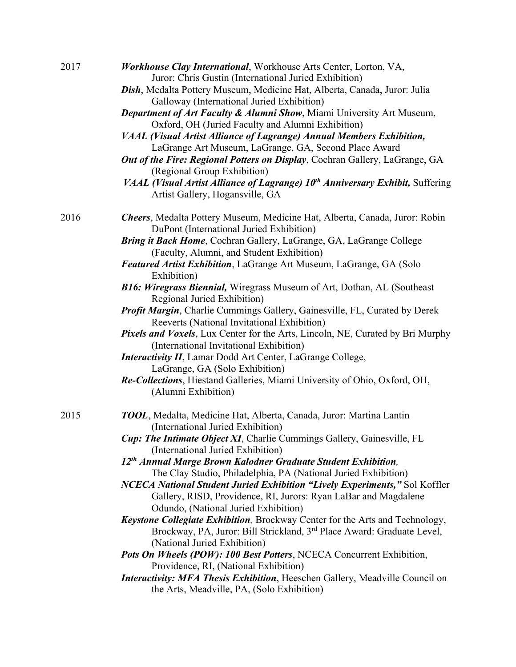| 2017 | Workhouse Clay International, Workhouse Arts Center, Lorton, VA,                                                                  |
|------|-----------------------------------------------------------------------------------------------------------------------------------|
|      | Juror: Chris Gustin (International Juried Exhibition)                                                                             |
|      | Dish, Medalta Pottery Museum, Medicine Hat, Alberta, Canada, Juror: Julia                                                         |
|      | Galloway (International Juried Exhibition)                                                                                        |
|      | <b>Department of Art Faculty &amp; Alumni Show, Miami University Art Museum,</b>                                                  |
|      | Oxford, OH (Juried Faculty and Alumni Exhibition)                                                                                 |
|      | VAAL (Visual Artist Alliance of Lagrange) Annual Members Exhibition,                                                              |
|      | LaGrange Art Museum, LaGrange, GA, Second Place Award                                                                             |
|      | Out of the Fire: Regional Potters on Display, Cochran Gallery, LaGrange, GA<br>(Regional Group Exhibition)                        |
|      | VAAL (Visual Artist Alliance of Lagrange) 10 <sup>th</sup> Anniversary Exhibit, Suffering                                         |
|      | Artist Gallery, Hogansville, GA                                                                                                   |
| 2016 | Cheers, Medalta Pottery Museum, Medicine Hat, Alberta, Canada, Juror: Robin                                                       |
|      | DuPont (International Juried Exhibition)                                                                                          |
|      | Bring it Back Home, Cochran Gallery, LaGrange, GA, LaGrange College                                                               |
|      | (Faculty, Alumni, and Student Exhibition)                                                                                         |
|      | <b>Featured Artist Exhibition, LaGrange Art Museum, LaGrange, GA (Solo</b>                                                        |
|      | Exhibition)                                                                                                                       |
|      | B16: Wiregrass Biennial, Wiregrass Museum of Art, Dothan, AL (Southeast<br>Regional Juried Exhibition)                            |
|      | <b>Profit Margin, Charlie Cummings Gallery, Gainesville, FL, Curated by Derek</b><br>Reeverts (National Invitational Exhibition)  |
|      | <b>Pixels and Voxels</b> , Lux Center for the Arts, Lincoln, NE, Curated by Bri Murphy<br>(International Invitational Exhibition) |
|      | <b>Interactivity II</b> , Lamar Dodd Art Center, LaGrange College,                                                                |
|      | LaGrange, GA (Solo Exhibition)                                                                                                    |
|      | Re-Collections, Hiestand Galleries, Miami University of Ohio, Oxford, OH,<br>(Alumni Exhibition)                                  |
| 2015 | TOOL, Medalta, Medicine Hat, Alberta, Canada, Juror: Martina Lantin                                                               |
|      | (International Juried Exhibition)                                                                                                 |
|      | <b>Cup: The Intimate Object XI, Charlie Cummings Gallery, Gainesville, FL</b><br>(International Juried Exhibition)                |
|      | 12th Annual Marge Brown Kalodner Graduate Student Exhibition,<br>The Clay Studio, Philadelphia, PA (National Juried Exhibition)   |
|      | NCECA National Student Juried Exhibition "Lively Experiments," Sol Koffler                                                        |
|      | Gallery, RISD, Providence, RI, Jurors: Ryan LaBar and Magdalene<br>Odundo, (National Juried Exhibition)                           |
|      | Keystone Collegiate Exhibition, Brockway Center for the Arts and Technology,                                                      |
|      | Brockway, PA, Juror: Bill Strickland, 3 <sup>rd</sup> Place Award: Graduate Level,                                                |
|      | (National Juried Exhibition)                                                                                                      |
|      | Pots On Wheels (POW): 100 Best Potters, NCECA Concurrent Exhibition,                                                              |
|      | Providence, RI, (National Exhibition)                                                                                             |
|      | Interactivity: MFA Thesis Exhibition, Heeschen Gallery, Meadville Council on<br>the Arts, Meadville, PA, (Solo Exhibition)        |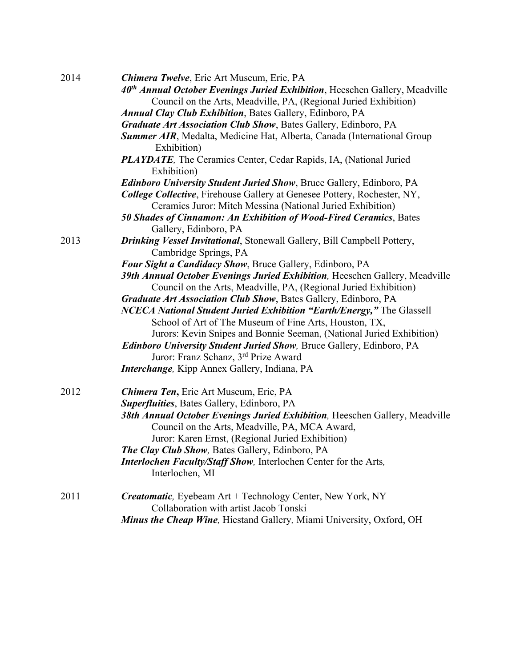| 2014 | <b>Chimera Twelve, Erie Art Museum, Erie, PA</b>                                                                                                                                                               |
|------|----------------------------------------------------------------------------------------------------------------------------------------------------------------------------------------------------------------|
|      | 40 <sup>th</sup> Annual October Evenings Juried Exhibition, Heeschen Gallery, Meadville                                                                                                                        |
|      | Council on the Arts, Meadville, PA, (Regional Juried Exhibition)                                                                                                                                               |
|      | <b>Annual Clay Club Exhibition, Bates Gallery, Edinboro, PA</b>                                                                                                                                                |
|      | <b>Graduate Art Association Club Show, Bates Gallery, Edinboro, PA</b>                                                                                                                                         |
|      | <b>Summer AIR</b> , Medalta, Medicine Hat, Alberta, Canada (International Group<br>Exhibition)                                                                                                                 |
|      | <b>PLAYDATE</b> , The Ceramics Center, Cedar Rapids, IA, (National Juried<br>Exhibition)                                                                                                                       |
|      | <b>Edinboro University Student Juried Show</b> , Bruce Gallery, Edinboro, PA                                                                                                                                   |
|      | College Collective, Firehouse Gallery at Genesee Pottery, Rochester, NY,                                                                                                                                       |
|      | Ceramics Juror: Mitch Messina (National Juried Exhibition)                                                                                                                                                     |
|      | 50 Shades of Cinnamon: An Exhibition of Wood-Fired Ceramics, Bates                                                                                                                                             |
|      | Gallery, Edinboro, PA                                                                                                                                                                                          |
| 2013 | Drinking Vessel Invitational, Stonewall Gallery, Bill Campbell Pottery,<br>Cambridge Springs, PA                                                                                                               |
|      | Four Sight a Candidacy Show, Bruce Gallery, Edinboro, PA                                                                                                                                                       |
|      | 39th Annual October Evenings Juried Exhibition, Heeschen Gallery, Meadville<br>Council on the Arts, Meadville, PA, (Regional Juried Exhibition)                                                                |
|      | Graduate Art Association Club Show, Bates Gallery, Edinboro, PA                                                                                                                                                |
|      | <b>NCECA National Student Juried Exhibition "Earth/Energy,"</b> The Glassell<br>School of Art of The Museum of Fine Arts, Houston, TX,<br>Jurors: Kevin Snipes and Bonnie Seeman, (National Juried Exhibition) |
|      | <b>Edinboro University Student Juried Show</b> , Bruce Gallery, Edinboro, PA                                                                                                                                   |
|      | Juror: Franz Schanz, 3 <sup>rd</sup> Prize Award                                                                                                                                                               |
|      | Interchange, Kipp Annex Gallery, Indiana, PA                                                                                                                                                                   |
|      |                                                                                                                                                                                                                |
| 2012 | <b>Chimera Ten, Erie Art Museum, Erie, PA</b>                                                                                                                                                                  |
|      | <b>Superfluities</b> , Bates Gallery, Edinboro, PA                                                                                                                                                             |
|      | 38th Annual October Evenings Juried Exhibition, Heeschen Gallery, Meadville                                                                                                                                    |
|      | Council on the Arts, Meadville, PA, MCA Award,                                                                                                                                                                 |
|      | Juror: Karen Ernst, (Regional Juried Exhibition)                                                                                                                                                               |
|      | <b>The Clay Club Show</b> , Bates Gallery, Edinboro, PA                                                                                                                                                        |
|      | Interlochen Faculty/Staff Show, Interlochen Center for the Arts,<br>Interlochen, MI                                                                                                                            |
| 2011 | <b>Creatomatic</b> , Eyebeam Art + Technology Center, New York, NY                                                                                                                                             |
|      | Collaboration with artist Jacob Tonski                                                                                                                                                                         |
|      | Minus the Cheap Wine, Hiestand Gallery, Miami University, Oxford, OH                                                                                                                                           |
|      |                                                                                                                                                                                                                |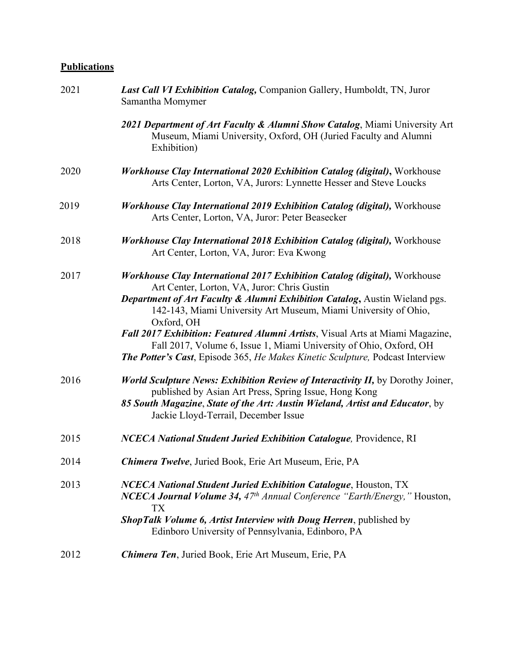## **Publications**

| 2021 | <b>Last Call VI Exhibition Catalog, Companion Gallery, Humboldt, TN, Juror</b><br>Samantha Momymer                                                                                                                                                                                                                                                                                                                                                                                                                                            |
|------|-----------------------------------------------------------------------------------------------------------------------------------------------------------------------------------------------------------------------------------------------------------------------------------------------------------------------------------------------------------------------------------------------------------------------------------------------------------------------------------------------------------------------------------------------|
|      | 2021 Department of Art Faculty & Alumni Show Catalog, Miami University Art<br>Museum, Miami University, Oxford, OH (Juried Faculty and Alumni<br>Exhibition)                                                                                                                                                                                                                                                                                                                                                                                  |
| 2020 | Workhouse Clay International 2020 Exhibition Catalog (digital), Workhouse<br>Arts Center, Lorton, VA, Jurors: Lynnette Hesser and Steve Loucks                                                                                                                                                                                                                                                                                                                                                                                                |
| 2019 | <b>Workhouse Clay International 2019 Exhibition Catalog (digital), Workhouse</b><br>Arts Center, Lorton, VA, Juror: Peter Beasecker                                                                                                                                                                                                                                                                                                                                                                                                           |
| 2018 | Workhouse Clay International 2018 Exhibition Catalog (digital), Workhouse<br>Art Center, Lorton, VA, Juror: Eva Kwong                                                                                                                                                                                                                                                                                                                                                                                                                         |
| 2017 | <b>Workhouse Clay International 2017 Exhibition Catalog (digital), Workhouse</b><br>Art Center, Lorton, VA, Juror: Chris Gustin<br>Department of Art Faculty & Alumni Exhibition Catalog, Austin Wieland pgs.<br>142-143, Miami University Art Museum, Miami University of Ohio,<br>Oxford, OH<br>Fall 2017 Exhibition: Featured Alumni Artists, Visual Arts at Miami Magazine,<br>Fall 2017, Volume 6, Issue 1, Miami University of Ohio, Oxford, OH<br><b>The Potter's Cast, Episode 365, He Makes Kinetic Sculpture, Podcast Interview</b> |
| 2016 | <b>World Sculpture News: Exhibition Review of Interactivity II, by Dorothy Joiner,</b><br>published by Asian Art Press, Spring Issue, Hong Kong<br>85 South Magazine, State of the Art: Austin Wieland, Artist and Educator, by<br>Jackie Lloyd-Terrail, December Issue                                                                                                                                                                                                                                                                       |
| 2015 | <b>NCECA National Student Juried Exhibition Catalogue, Providence, RI</b>                                                                                                                                                                                                                                                                                                                                                                                                                                                                     |
| 2014 | Chimera Twelve, Juried Book, Erie Art Museum, Erie, PA                                                                                                                                                                                                                                                                                                                                                                                                                                                                                        |
| 2013 | <b>NCECA National Student Juried Exhibition Catalogue, Houston, TX</b><br><b>NCECA Journal Volume 34,</b> $47th$ Annual Conference "Earth/Energy," Houston,<br><b>TX</b><br>ShopTalk Volume 6, Artist Interview with Doug Herren, published by<br>Edinboro University of Pennsylvania, Edinboro, PA                                                                                                                                                                                                                                           |
| 2012 | Chimera Ten, Juried Book, Erie Art Museum, Erie, PA                                                                                                                                                                                                                                                                                                                                                                                                                                                                                           |
|      |                                                                                                                                                                                                                                                                                                                                                                                                                                                                                                                                               |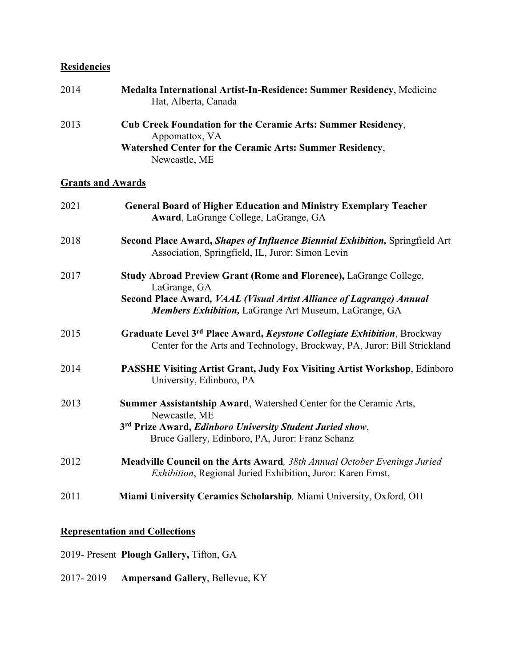# **Residencies**

| 2014 | Medalta International Artist-In-Residence: Summer Residency, Medicine<br>Hat, Alberta, Canada                                                                             |
|------|---------------------------------------------------------------------------------------------------------------------------------------------------------------------------|
| 2013 | <b>Cub Creek Foundation for the Ceramic Arts: Summer Residency,</b><br>Appomattox, VA<br><b>Watershed Center for the Ceramic Arts: Summer Residency,</b><br>Newcastle, ME |

# **Grants and Awards**

| 2021 | <b>General Board of Higher Education and Ministry Exemplary Teacher</b><br>Award, LaGrange College, LaGrange, GA                                                                                                         |
|------|--------------------------------------------------------------------------------------------------------------------------------------------------------------------------------------------------------------------------|
| 2018 | Second Place Award, Shapes of Influence Biennial Exhibition, Springfield Art<br>Association, Springfield, IL, Juror: Simon Levin                                                                                         |
| 2017 | Study Abroad Preview Grant (Rome and Florence), LaGrange College,<br>LaGrange, GA<br>Second Place Award, VAAL (Visual Artist Alliance of Lagrange) Annual<br>Members Exhibition, LaGrange Art Museum, LaGrange, GA       |
| 2015 | Graduate Level 3rd Place Award, Keystone Collegiate Exhibition, Brockway<br>Center for the Arts and Technology, Brockway, PA, Juror: Bill Strickland                                                                     |
| 2014 | PASSHE Visiting Artist Grant, Judy Fox Visiting Artist Workshop, Edinboro<br>University, Edinboro, PA                                                                                                                    |
| 2013 | Summer Assistantship Award, Watershed Center for the Ceramic Arts,<br>Newcastle, ME<br>3 <sup>rd</sup> Prize Award, <i>Edinboro University Student Juried show</i> ,<br>Bruce Gallery, Edinboro, PA, Juror: Franz Schanz |
| 2012 | <b>Meadville Council on the Arts Award</b> , 38th Annual October Evenings Juried<br>Exhibition, Regional Juried Exhibition, Juror: Karen Ernst,                                                                          |
| 2011 | Miami University Ceramics Scholarship, Miami University, Oxford, OH                                                                                                                                                      |

### **Representation and Collections**

- 2019- Present **Plough Gallery,** Tifton, GA
- 2017- 2019 **Ampersand Gallery**, Bellevue, KY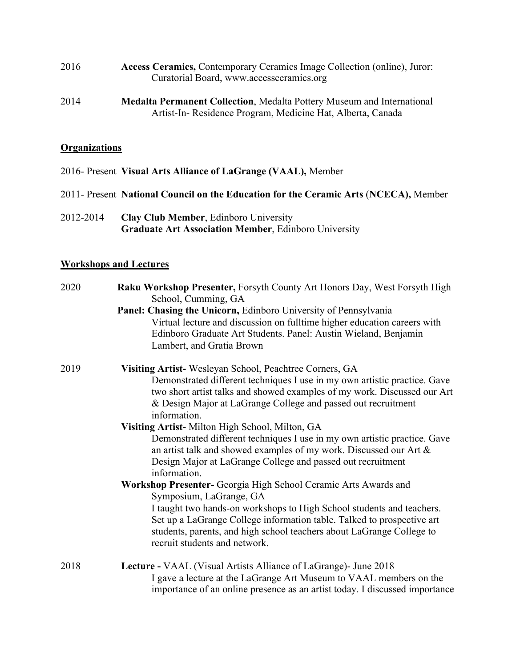| 2016 | Access Ceramics, Contemporary Ceramics Image Collection (online), Juror: |
|------|--------------------------------------------------------------------------|
|      | Curatorial Board, www.accessceramics.org                                 |

2014 **Medalta Permanent Collection**, Medalta Pottery Museum and International Artist-In- Residence Program, Medicine Hat, Alberta, Canada

### **Organizations**

- 2016- Present **Visual Arts Alliance of LaGrange (VAAL),** Member
- 2011- Present **National Council on the Education for the Ceramic Arts** (**NCECA),** Member
- 2012-2014 **Clay Club Member**, Edinboro University **Graduate Art Association Member**, Edinboro University

### **Workshops and Lectures**

| 2020 | Raku Workshop Presenter, Forsyth County Art Honors Day, West Forsyth High<br>School, Cumming, GA                                                                                                                                                          |
|------|-----------------------------------------------------------------------------------------------------------------------------------------------------------------------------------------------------------------------------------------------------------|
|      | Panel: Chasing the Unicorn, Edinboro University of Pennsylvania                                                                                                                                                                                           |
|      | Virtual lecture and discussion on fulltime higher education careers with<br>Edinboro Graduate Art Students. Panel: Austin Wieland, Benjamin<br>Lambert, and Gratia Brown                                                                                  |
| 2019 | Visiting Artist-Wesleyan School, Peachtree Corners, GA                                                                                                                                                                                                    |
|      | Demonstrated different techniques I use in my own artistic practice. Gave<br>two short artist talks and showed examples of my work. Discussed our Art<br>& Design Major at LaGrange College and passed out recruitment<br>information.                    |
|      | Visiting Artist-Milton High School, Milton, GA                                                                                                                                                                                                            |
|      | Demonstrated different techniques I use in my own artistic practice. Gave<br>an artist talk and showed examples of my work. Discussed our Art &<br>Design Major at LaGrange College and passed out recruitment<br>information.                            |
|      | Workshop Presenter- Georgia High School Ceramic Arts Awards and<br>Symposium, LaGrange, GA                                                                                                                                                                |
|      | I taught two hands-on workshops to High School students and teachers.<br>Set up a LaGrange College information table. Talked to prospective art<br>students, parents, and high school teachers about LaGrange College to<br>recruit students and network. |
| 2018 | Lecture - VAAL (Visual Artists Alliance of LaGrange) - June 2018                                                                                                                                                                                          |
|      | I gave a lecture at the LaGrange Art Museum to VAAL members on the<br>importance of an online presence as an artist today. I discussed importance                                                                                                         |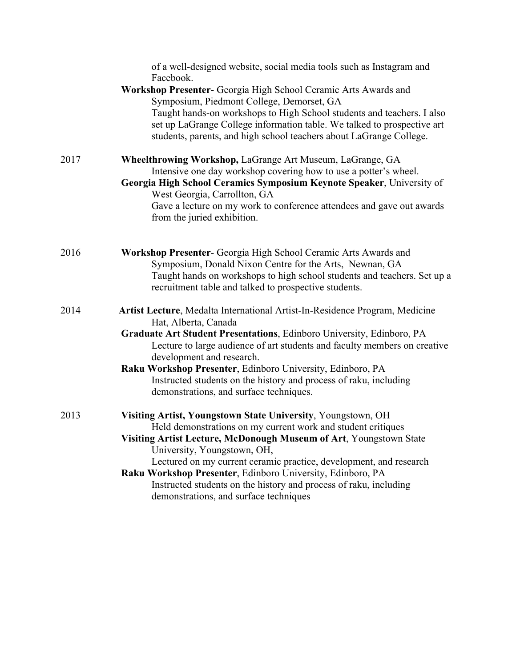|      | of a well-designed website, social media tools such as Instagram and<br>Facebook.                                                                                                                                                                               |
|------|-----------------------------------------------------------------------------------------------------------------------------------------------------------------------------------------------------------------------------------------------------------------|
|      | Workshop Presenter- Georgia High School Ceramic Arts Awards and<br>Symposium, Piedmont College, Demorset, GA<br>Taught hands-on workshops to High School students and teachers. I also                                                                          |
|      | set up LaGrange College information table. We talked to prospective art<br>students, parents, and high school teachers about LaGrange College.                                                                                                                  |
| 2017 | Wheelthrowing Workshop, LaGrange Art Museum, LaGrange, GA<br>Intensive one day workshop covering how to use a potter's wheel.<br>Georgia High School Ceramics Symposium Keynote Speaker, University of                                                          |
|      | West Georgia, Carrollton, GA<br>Gave a lecture on my work to conference attendees and gave out awards<br>from the juried exhibition.                                                                                                                            |
| 2016 | Workshop Presenter- Georgia High School Ceramic Arts Awards and<br>Symposium, Donald Nixon Centre for the Arts, Newnan, GA<br>Taught hands on workshops to high school students and teachers. Set up a<br>recruitment table and talked to prospective students. |
| 2014 | Artist Lecture, Medalta International Artist-In-Residence Program, Medicine<br>Hat, Alberta, Canada                                                                                                                                                             |
|      | Graduate Art Student Presentations, Edinboro University, Edinboro, PA                                                                                                                                                                                           |
|      | Lecture to large audience of art students and faculty members on creative<br>development and research.                                                                                                                                                          |
|      | Raku Workshop Presenter, Edinboro University, Edinboro, PA                                                                                                                                                                                                      |
|      | Instructed students on the history and process of raku, including<br>demonstrations, and surface techniques.                                                                                                                                                    |
| 2013 | Visiting Artist, Youngstown State University, Youngstown, OH                                                                                                                                                                                                    |
|      | Held demonstrations on my current work and student critiques                                                                                                                                                                                                    |
|      | Visiting Artist Lecture, McDonough Museum of Art, Youngstown State<br>University, Youngstown, OH,                                                                                                                                                               |
|      | Lectured on my current ceramic practice, development, and research<br>Raku Workshop Presenter, Edinboro University, Edinboro, PA                                                                                                                                |
|      | Instructed students on the history and process of raku, including                                                                                                                                                                                               |
|      | demonstrations, and surface techniques                                                                                                                                                                                                                          |